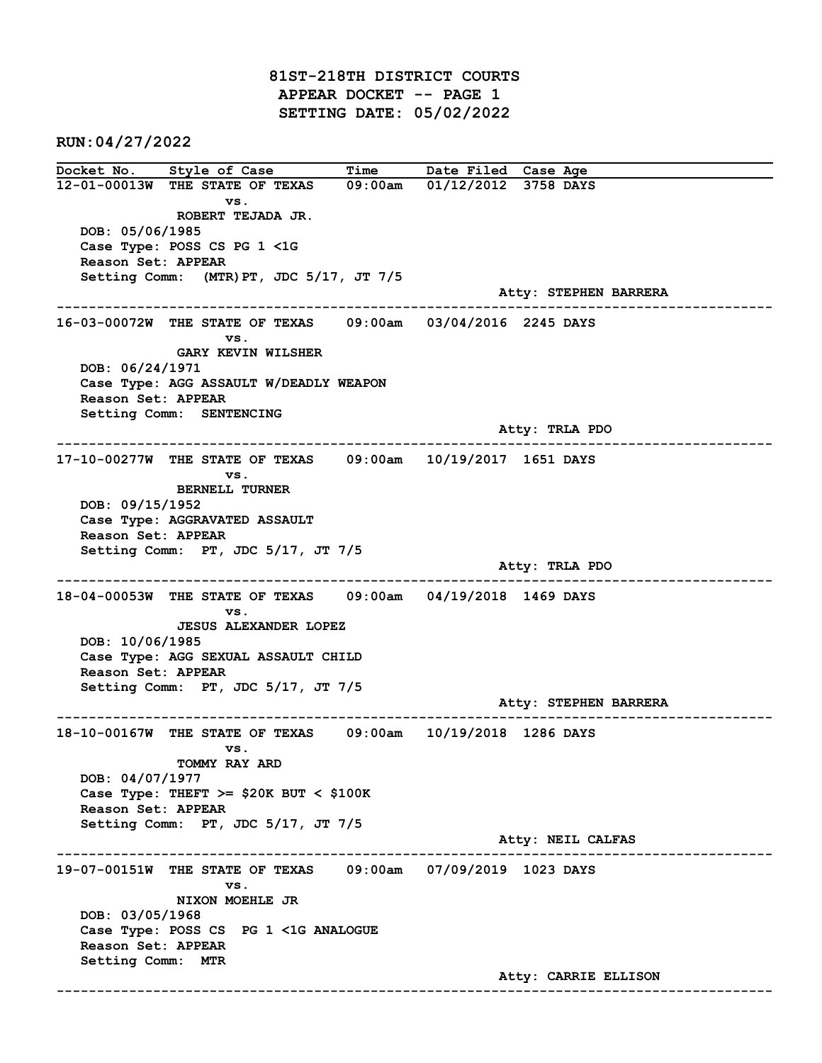81ST-218TH DISTRICT COURTS APPEAR DOCKET -- PAGE 1 SETTING DATE: 05/02/2022

RUN:04/27/2022

Docket No. Style of Case Time Date Filed Case Age 12-01-00013W THE STATE OF TEXAS 09:00am 01/12/2012 3758 DAYS vs. ROBERT TEJADA JR. DOB: 05/06/1985 Case Type: POSS CS PG 1 <1G Reason Set: APPEAR Setting Comm: (MTR)PT, JDC 5/17, JT 7/5 Atty: STEPHEN BARRERA ------------------------------------------------------------------------------------------------------------------------ 16-03-00072W THE STATE OF TEXAS 09:00am 03/04/2016 2245 DAYS vs. GARY KEVIN WILSHER DOB: 06/24/1971 Case Type: AGG ASSAULT W/DEADLY WEAPON Reason Set: APPEAR Setting Comm: SENTENCING Atty: TRLA PDO ------------------------------------------------------------------------------------------------------------------------ 17-10-00277W THE STATE OF TEXAS 09:00am 10/19/2017 1651 DAYS vs. BERNELL TURNER DOB: 09/15/1952 Case Type: AGGRAVATED ASSAULT Reason Set: APPEAR Setting Comm: PT, JDC 5/17, JT 7/5 Atty: TRLA PDO ------------------------------------------------------------------------------------------------------------------------ 18-04-00053W THE STATE OF TEXAS 09:00am 04/19/2018 1469 DAYS vs. JESUS ALEXANDER LOPEZ DOB: 10/06/1985 Case Type: AGG SEXUAL ASSAULT CHILD Reason Set: APPEAR Setting Comm: PT, JDC 5/17, JT 7/5 Atty: STEPHEN BARRERA ------------------------------------------------------------------------------------------------------------------------ 18-10-00167W THE STATE OF TEXAS 09:00am 10/19/2018 1286 DAYS vs. TOMMY RAY ARD DOB: 04/07/1977 Case Type: THEFT  $>=$  \$20K BUT < \$100K Reason Set: APPEAR Setting Comm: PT, JDC 5/17, JT 7/5 Atty: NEIL CALFAS ------------------------------------------------------------------------------------------------------------------------ 19-07-00151W THE STATE OF TEXAS 09:00am 07/09/2019 1023 DAYS vs. NIXON MOEHLE JR DOB: 03/05/1968 Case Type: POSS CS PG 1 <1G ANALOGUE Reason Set: APPEAR Setting Comm: MTR Atty: CARRIE ELLISON ------------------------------------------------------------------------------------------------------------------------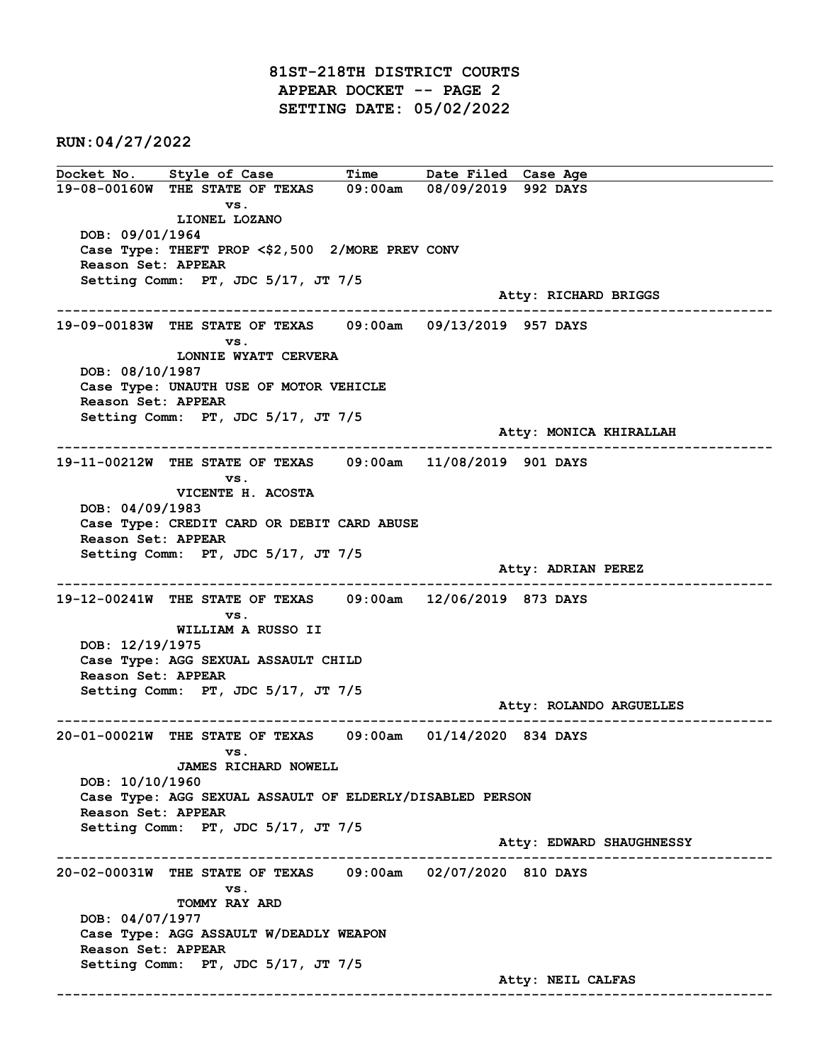81ST-218TH DISTRICT COURTS APPEAR DOCKET -- PAGE 2 SETTING DATE: 05/02/2022

RUN:04/27/2022

Docket No. Style of Case Time Date Filed Case Age 19-08-00160W THE STATE OF TEXAS 09:00am 08/09/2019 992 DAYS vs. LIONEL LOZANO DOB: 09/01/1964 Case Type: THEFT PROP <\$2,500 2/MORE PREV CONV Reason Set: APPEAR Setting Comm: PT, JDC 5/17, JT 7/5 Atty: RICHARD BRIGGS ------------------------------------------------------------------------------------------------------------------------ 19-09-00183W THE STATE OF TEXAS 09:00am 09/13/2019 957 DAYS vs. LONNIE WYATT CERVERA DOB: 08/10/1987 Case Type: UNAUTH USE OF MOTOR VEHICLE Reason Set: APPEAR Setting Comm: PT, JDC 5/17, JT 7/5 Atty: MONICA KHIRALLAH ------------------------------------------------------------------------------------------------------------------------ 19-11-00212W THE STATE OF TEXAS 09:00am 11/08/2019 901 DAYS vs. VICENTE H. ACOSTA DOB: 04/09/1983 Case Type: CREDIT CARD OR DEBIT CARD ABUSE Reason Set: APPEAR Setting Comm: PT, JDC 5/17, JT 7/5 Atty: ADRIAN PEREZ ------------------------------------------------------------------------------------------------------------------------ 19-12-00241W THE STATE OF TEXAS 09:00am 12/06/2019 873 DAYS vs. WILLIAM A RUSSO II DOB: 12/19/1975 Case Type: AGG SEXUAL ASSAULT CHILD Reason Set: APPEAR Setting Comm: PT, JDC 5/17, JT 7/5 Atty: ROLANDO ARGUELLES ------------------------------------------------------------------------------------------------------------------------ 20-01-00021W THE STATE OF TEXAS 09:00am 01/14/2020 834 DAYS vs. JAMES RICHARD NOWELL DOB: 10/10/1960 Case Type: AGG SEXUAL ASSAULT OF ELDERLY/DISABLED PERSON Reason Set: APPEAR Setting Comm: PT, JDC 5/17, JT 7/5 Atty: EDWARD SHAUGHNESSY ------------------------------------------------------------------------------------------------------------------------ 20-02-00031W THE STATE OF TEXAS 09:00am 02/07/2020 810 DAYS vs. TOMMY RAY ARD DOB: 04/07/1977 Case Type: AGG ASSAULT W/DEADLY WEAPON Reason Set: APPEAR Setting Comm: PT, JDC 5/17, JT 7/5 Atty: NEIL CALFAS ------------------------------------------------------------------------------------------------------------------------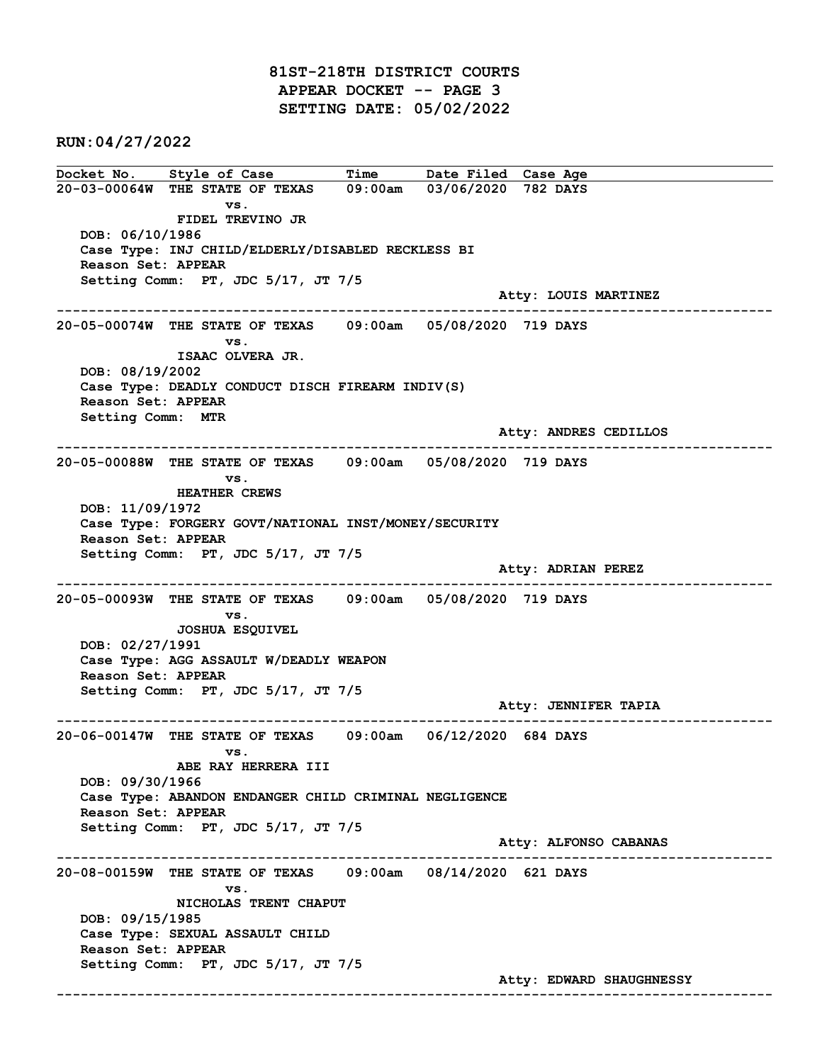81ST-218TH DISTRICT COURTS APPEAR DOCKET -- PAGE 3 SETTING DATE: 05/02/2022

RUN:04/27/2022

Docket No. Style of Case Time Date Filed Case Age 20-03-00064W THE STATE OF TEXAS 09:00am 03/06/2020 782 DAYS vs. FIDEL TREVINO JR DOB: 06/10/1986 Case Type: INJ CHILD/ELDERLY/DISABLED RECKLESS BI Reason Set: APPEAR Setting Comm: PT, JDC 5/17, JT 7/5 Atty: LOUIS MARTINEZ ------------------------------------------------------------------------------------------------------------------------ 20-05-00074W THE STATE OF TEXAS 09:00am 05/08/2020 719 DAYS vs. ISAAC OLVERA JR. DOB: 08/19/2002 Case Type: DEADLY CONDUCT DISCH FIREARM INDIV(S) Reason Set: APPEAR Setting Comm: MTR Atty: ANDRES CEDILLOS ------------------------------------------------------------------------------------------------------------------------ 20-05-00088W THE STATE OF TEXAS 09:00am 05/08/2020 719 DAYS vs. HEATHER CREWS DOB: 11/09/1972 Case Type: FORGERY GOVT/NATIONAL INST/MONEY/SECURITY Reason Set: APPEAR Setting Comm: PT, JDC 5/17, JT 7/5 Atty: ADRIAN PEREZ ------------------------------------------------------------------------------------------------------------------------ 20-05-00093W THE STATE OF TEXAS 09:00am 05/08/2020 719 DAYS vs. JOSHUA ESQUIVEL DOB: 02/27/1991 Case Type: AGG ASSAULT W/DEADLY WEAPON Reason Set: APPEAR Setting Comm: PT, JDC 5/17, JT 7/5 Atty: JENNIFER TAPIA ------------------------------------------------------------------------------------------------------------------------ 20-06-00147W THE STATE OF TEXAS 09:00am 06/12/2020 684 DAYS vs. ABE RAY HERRERA III DOB: 09/30/1966 Case Type: ABANDON ENDANGER CHILD CRIMINAL NEGLIGENCE Reason Set: APPEAR Setting Comm: PT, JDC 5/17, JT 7/5 Atty: ALFONSO CABANAS ------------------------------------------------------------------------------------------------------------------------ 20-08-00159W THE STATE OF TEXAS 09:00am 08/14/2020 621 DAYS vs. NICHOLAS TRENT CHAPUT DOB: 09/15/1985 Case Type: SEXUAL ASSAULT CHILD Reason Set: APPEAR Setting Comm: PT, JDC 5/17, JT 7/5 Atty: EDWARD SHAUGHNESSY ------------------------------------------------------------------------------------------------------------------------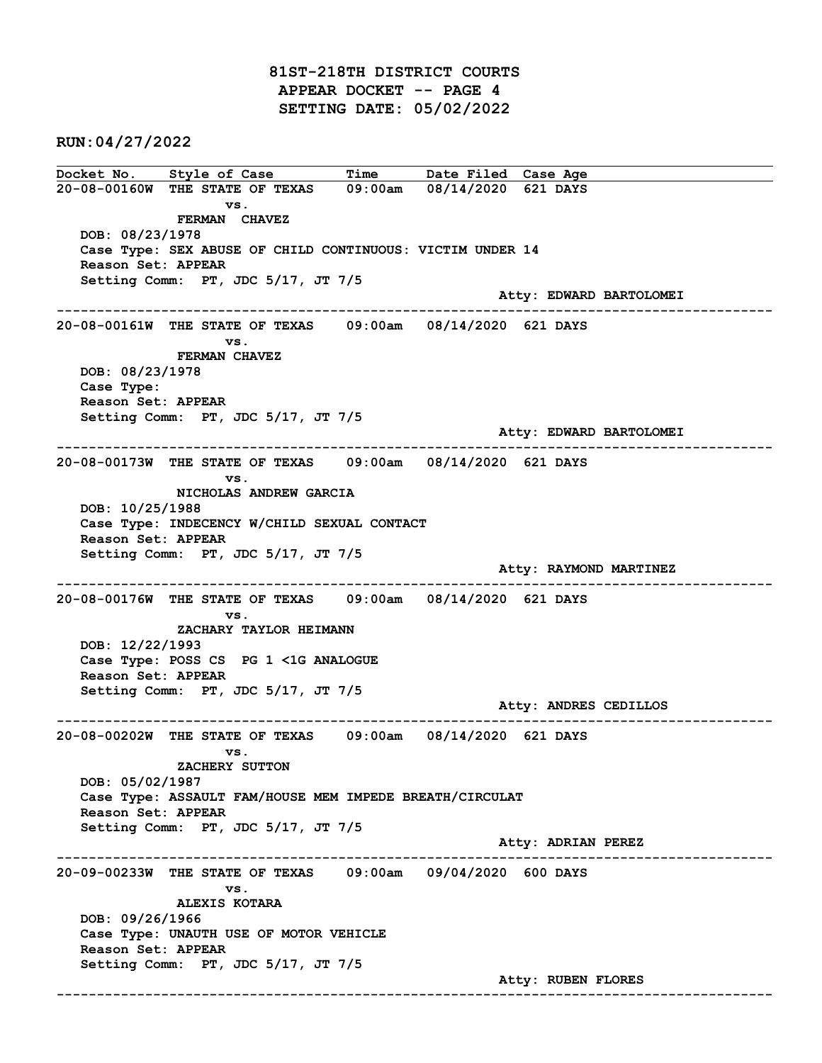81ST-218TH DISTRICT COURTS APPEAR DOCKET -- PAGE 4 SETTING DATE: 05/02/2022

RUN:04/27/2022

Docket No. Style of Case Time Date Filed Case Age 20-08-00160W THE STATE OF TEXAS 09:00am 08/14/2020 621 DAYS vs. FERMAN CHAVEZ DOB: 08/23/1978 Case Type: SEX ABUSE OF CHILD CONTINUOUS: VICTIM UNDER 14 Reason Set: APPEAR Setting Comm: PT, JDC 5/17, JT 7/5 Atty: EDWARD BARTOLOMEI ------------------------------------------------------------------------------------------------------------------------ 20-08-00161W THE STATE OF TEXAS 09:00am 08/14/2020 621 DAYS vs. FERMAN CHAVEZ DOB: 08/23/1978 Case Type: Reason Set: APPEAR Setting Comm: PT, JDC 5/17, JT 7/5 Atty: EDWARD BARTOLOMEI ------------------------------------------------------------------------------------------------------------------------ 20-08-00173W THE STATE OF TEXAS 09:00am 08/14/2020 621 DAYS vs. NICHOLAS ANDREW GARCIA DOB: 10/25/1988 Case Type: INDECENCY W/CHILD SEXUAL CONTACT Reason Set: APPEAR Setting Comm: PT, JDC 5/17, JT 7/5 Atty: RAYMOND MARTINEZ ------------------------------------------------------------------------------------------------------------------------ 20-08-00176W THE STATE OF TEXAS 09:00am 08/14/2020 621 DAYS vs. ZACHARY TAYLOR HEIMANN DOB: 12/22/1993 Case Type: POSS CS PG 1 <1G ANALOGUE Reason Set: APPEAR Setting Comm: PT, JDC 5/17, JT 7/5 Atty: ANDRES CEDILLOS ------------------------------------------------------------------------------------------------------------------------ 20-08-00202W THE STATE OF TEXAS 09:00am 08/14/2020 621 DAYS vs. ZACHERY SUTTON DOB: 05/02/1987 Case Type: ASSAULT FAM/HOUSE MEM IMPEDE BREATH/CIRCULAT Reason Set: APPEAR Setting Comm: PT, JDC 5/17, JT 7/5 Atty: ADRIAN PEREZ ------------------------------------------------------------------------------------------------------------------------ 20-09-00233W THE STATE OF TEXAS 09:00am 09/04/2020 600 DAYS vs. ALEXIS KOTARA DOB: 09/26/1966 Case Type: UNAUTH USE OF MOTOR VEHICLE Reason Set: APPEAR Setting Comm: PT, JDC 5/17, JT 7/5 Atty: RUBEN FLORES ------------------------------------------------------------------------------------------------------------------------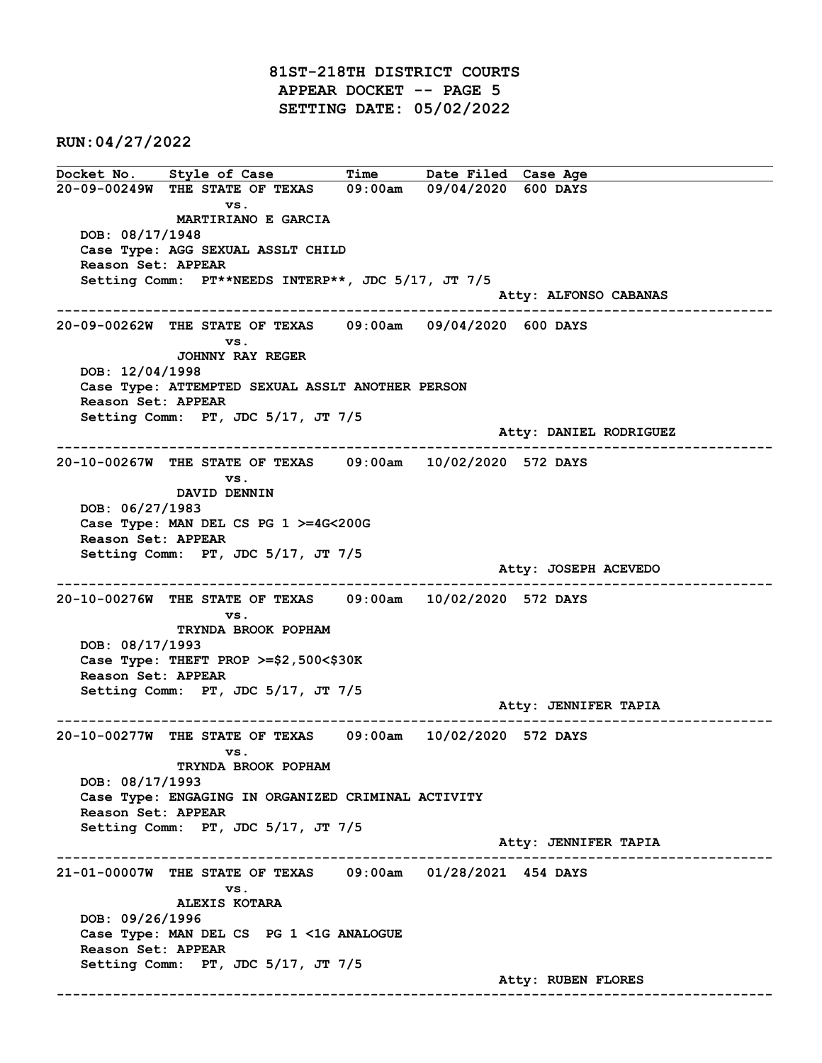81ST-218TH DISTRICT COURTS APPEAR DOCKET -- PAGE 5 SETTING DATE: 05/02/2022

RUN:04/27/2022

Docket No. Style of Case Time Date Filed Case Age 20-09-00249W THE STATE OF TEXAS 09:00am 09/04/2020 600 DAYS vs. MARTIRIANO E GARCIA DOB: 08/17/1948 Case Type: AGG SEXUAL ASSLT CHILD Reason Set: APPEAR Setting Comm: PT\*\*NEEDS INTERP\*\*, JDC 5/17, JT 7/5 Atty: ALFONSO CABANAS ------------------------------------------------------------------------------------------------------------------------ 20-09-00262W THE STATE OF TEXAS 09:00am 09/04/2020 600 DAYS vs. JOHNNY RAY REGER DOB: 12/04/1998 Case Type: ATTEMPTED SEXUAL ASSLT ANOTHER PERSON Reason Set: APPEAR Setting Comm: PT, JDC 5/17, JT 7/5 Atty: DANIEL RODRIGUEZ ------------------------------------------------------------------------------------------------------------------------ 20-10-00267W THE STATE OF TEXAS 09:00am 10/02/2020 572 DAYS vs. DAVID DENNIN DOB: 06/27/1983 Case Type: MAN DEL CS PG 1 >=4G<200G Reason Set: APPEAR Setting Comm: PT, JDC 5/17, JT 7/5 Atty: JOSEPH ACEVEDO ------------------------------------------------------------------------------------------------------------------------ 20-10-00276W THE STATE OF TEXAS 09:00am 10/02/2020 572 DAYS vs. TRYNDA BROOK POPHAM DOB: 08/17/1993 Case Type: THEFT PROP >=\$2,500<\$30K Reason Set: APPEAR Setting Comm: PT, JDC 5/17, JT 7/5 Atty: JENNIFER TAPIA ------------------------------------------------------------------------------------------------------------------------ 20-10-00277W THE STATE OF TEXAS 09:00am 10/02/2020 572 DAYS vs. TRYNDA BROOK POPHAM DOB: 08/17/1993 Case Type: ENGAGING IN ORGANIZED CRIMINAL ACTIVITY Reason Set: APPEAR Setting Comm: PT, JDC 5/17, JT 7/5 Atty: JENNIFER TAPIA ------------------------------------------------------------------------------------------------------------------------ 21-01-00007W THE STATE OF TEXAS 09:00am 01/28/2021 454 DAYS vs. ALEXIS KOTARA DOB: 09/26/1996 Case Type: MAN DEL CS PG 1 <1G ANALOGUE Reason Set: APPEAR Setting Comm: PT, JDC 5/17, JT 7/5 Atty: RUBEN FLORES ------------------------------------------------------------------------------------------------------------------------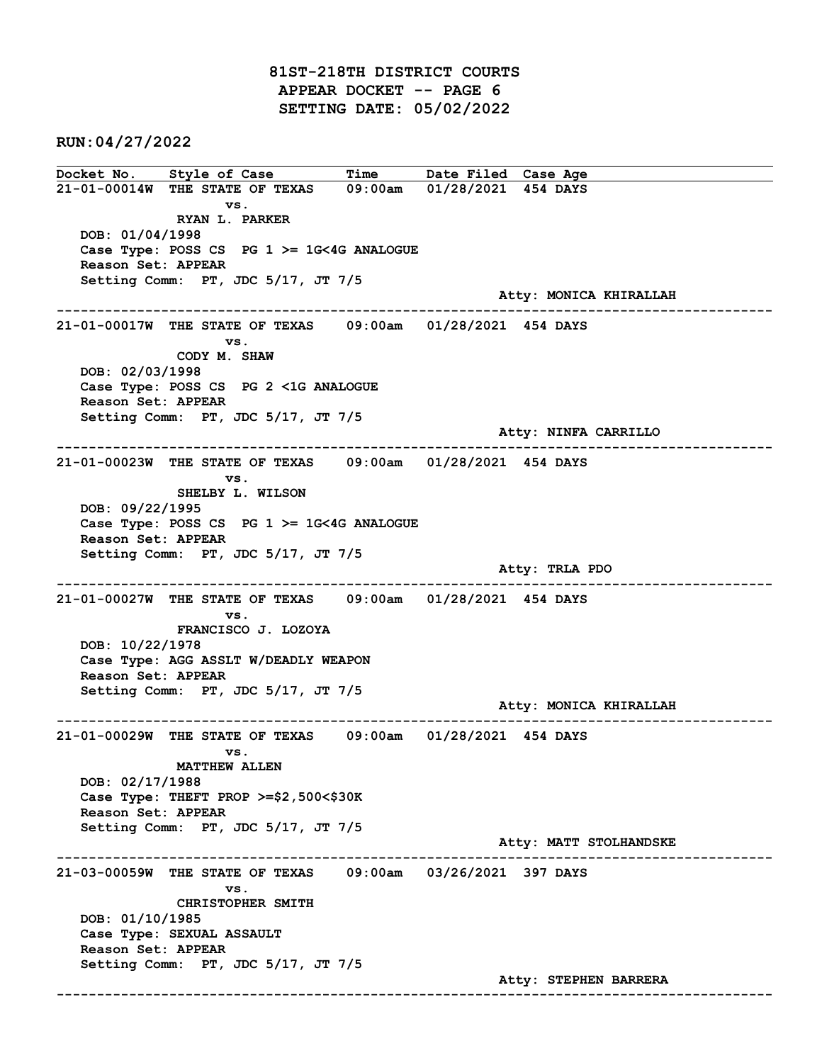81ST-218TH DISTRICT COURTS APPEAR DOCKET -- PAGE 6 SETTING DATE: 05/02/2022

RUN:04/27/2022

Docket No. Style of Case Time Date Filed Case Age 21-01-00014W THE STATE OF TEXAS 09:00am 01/28/2021 454 DAYS vs. RYAN L. PARKER DOB: 01/04/1998 Case Type: POSS CS PG 1 >= 1G<4G ANALOGUE Reason Set: APPEAR Setting Comm: PT, JDC 5/17, JT 7/5 Atty: MONICA KHIRALLAH ------------------------------------------------------------------------------------------------------------------------ 21-01-00017W THE STATE OF TEXAS 09:00am 01/28/2021 454 DAYS vs. CODY M. SHAW DOB: 02/03/1998 Case Type: POSS CS PG 2 <1G ANALOGUE Reason Set: APPEAR Setting Comm: PT, JDC 5/17, JT 7/5 Atty: NINFA CARRILLO ------------------------------------------------------------------------------------------------------------------------ 21-01-00023W THE STATE OF TEXAS 09:00am 01/28/2021 454 DAYS vs. SHELBY L. WILSON DOB: 09/22/1995 Case Type: POSS CS PG 1 >= 1G<4G ANALOGUE Reason Set: APPEAR Setting Comm: PT, JDC 5/17, JT 7/5 Atty: TRLA PDO ------------------------------------------------------------------------------------------------------------------------ 21-01-00027W THE STATE OF TEXAS 09:00am 01/28/2021 454 DAYS vs. FRANCISCO J. LOZOYA DOB: 10/22/1978 Case Type: AGG ASSLT W/DEADLY WEAPON Reason Set: APPEAR Setting Comm: PT, JDC 5/17, JT 7/5 Atty: MONICA KHIRALLAH ------------------------------------------------------------------------------------------------------------------------ 21-01-00029W THE STATE OF TEXAS 09:00am 01/28/2021 454 DAYS vs. MATTHEW ALLEN DOB: 02/17/1988 Case Type: THEFT PROP >=\$2,500<\$30K Reason Set: APPEAR Setting Comm: PT, JDC 5/17, JT 7/5 Atty: MATT STOLHANDSKE ------------------------------------------------------------------------------------------------------------------------ 21-03-00059W THE STATE OF TEXAS 09:00am 03/26/2021 397 DAYS vs. CHRISTOPHER SMITH DOB: 01/10/1985 Case Type: SEXUAL ASSAULT Reason Set: APPEAR Setting Comm: PT, JDC 5/17, JT 7/5 Atty: STEPHEN BARRERA ------------------------------------------------------------------------------------------------------------------------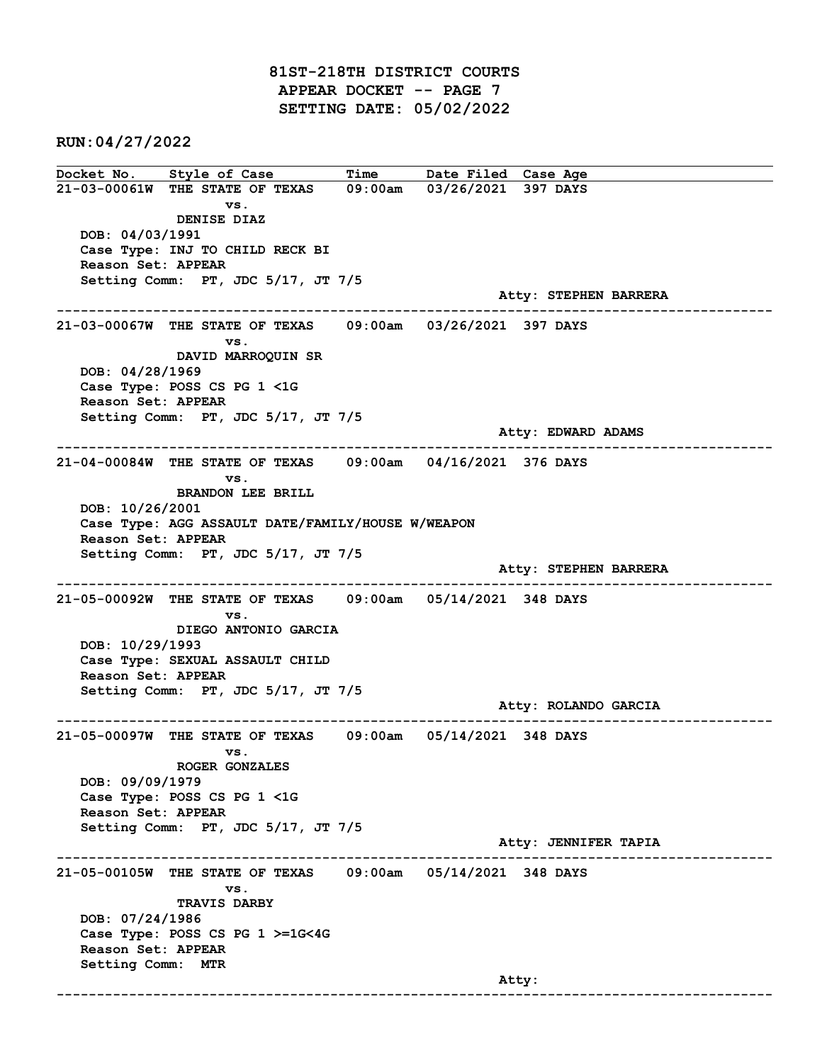81ST-218TH DISTRICT COURTS APPEAR DOCKET -- PAGE 7 SETTING DATE: 05/02/2022

RUN:04/27/2022

Docket No. Style of Case Time Date Filed Case Age 21-03-00061W THE STATE OF TEXAS 09:00am 03/26/2021 397 DAYS vs. DENISE DIAZ DOB: 04/03/1991 Case Type: INJ TO CHILD RECK BI Reason Set: APPEAR Setting Comm: PT, JDC 5/17, JT 7/5 Atty: STEPHEN BARRERA ------------------------------------------------------------------------------------------------------------------------ 21-03-00067W THE STATE OF TEXAS 09:00am 03/26/2021 397 DAYS vs. DAVID MARROQUIN SR DOB: 04/28/1969 Case Type: POSS CS PG 1 <1G Reason Set: APPEAR Setting Comm: PT, JDC 5/17, JT 7/5 Atty: EDWARD ADAMS ------------------------------------------------------------------------------------------------------------------------ 21-04-00084W THE STATE OF TEXAS 09:00am 04/16/2021 376 DAYS vs. BRANDON LEE BRILL DOB: 10/26/2001 Case Type: AGG ASSAULT DATE/FAMILY/HOUSE W/WEAPON Reason Set: APPEAR Setting Comm: PT, JDC 5/17, JT 7/5 Atty: STEPHEN BARRERA ------------------------------------------------------------------------------------------------------------------------ 21-05-00092W THE STATE OF TEXAS 09:00am 05/14/2021 348 DAYS vs. DIEGO ANTONIO GARCIA DOB: 10/29/1993 Case Type: SEXUAL ASSAULT CHILD Reason Set: APPEAR Setting Comm: PT, JDC 5/17, JT 7/5 Atty: ROLANDO GARCIA ------------------------------------------------------------------------------------------------------------------------ 21-05-00097W THE STATE OF TEXAS 09:00am 05/14/2021 348 DAYS vs. ROGER GONZALES DOB: 09/09/1979 Case Type: POSS CS PG 1 <1G Reason Set: APPEAR Setting Comm: PT, JDC 5/17, JT 7/5 Atty: JENNIFER TAPIA ------------------------------------------------------------------------------------------------------------------------ 21-05-00105W THE STATE OF TEXAS 09:00am 05/14/2021 348 DAYS vs. TRAVIS DARBY DOB: 07/24/1986 Case Type: POSS CS PG 1 >=1G<4G Reason Set: APPEAR Setting Comm: MTR and the control of the control of the control of the control of the control of the control of the control of the control of the control of the control of the control of the control of the control of the control of the cont ------------------------------------------------------------------------------------------------------------------------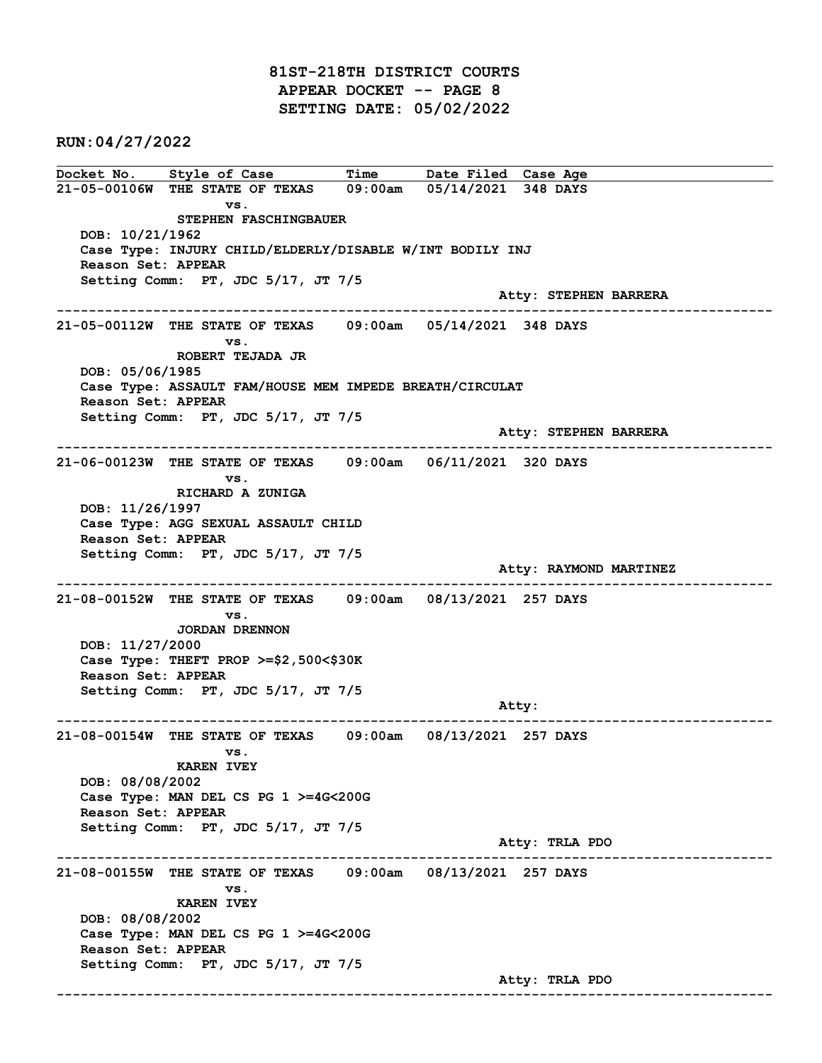81ST-218TH DISTRICT COURTS APPEAR DOCKET -- PAGE 8 SETTING DATE: 05/02/2022

RUN:04/27/2022

Docket No. Style of Case Time Date Filed Case Age 21-05-00106W THE STATE OF TEXAS 09:00am 05/14/2021 348 DAYS vs. STEPHEN FASCHINGBAUER DOB: 10/21/1962 Case Type: INJURY CHILD/ELDERLY/DISABLE W/INT BODILY INJ Reason Set: APPEAR Setting Comm: PT, JDC 5/17, JT 7/5 Atty: STEPHEN BARRERA ------------------------------------------------------------------------------------------------------------------------ 21-05-00112W THE STATE OF TEXAS 09:00am 05/14/2021 348 DAYS vs. ROBERT TEJADA JR DOB: 05/06/1985 Case Type: ASSAULT FAM/HOUSE MEM IMPEDE BREATH/CIRCULAT Reason Set: APPEAR Setting Comm: PT, JDC 5/17, JT 7/5 Atty: STEPHEN BARRERA ------------------------------------------------------------------------------------------------------------------------ 21-06-00123W THE STATE OF TEXAS 09:00am 06/11/2021 320 DAYS vs. RICHARD A ZUNIGA DOB: 11/26/1997 Case Type: AGG SEXUAL ASSAULT CHILD Reason Set: APPEAR Setting Comm: PT, JDC 5/17, JT 7/5 Atty: RAYMOND MARTINEZ ------------------------------------------------------------------------------------------------------------------------ 21-08-00152W THE STATE OF TEXAS 09:00am 08/13/2021 257 DAYS vs. JORDAN DRENNON DOB: 11/27/2000 Case Type: THEFT PROP >=\$2,500<\$30K Reason Set: APPEAR Setting Comm: PT, JDC 5/17, JT 7/5 example of the state of the state of the state of the state of the state of the state of the state of the state of the state of the state of the state of the state of the state of the state of the state of the state of the ------------------------------------------------------------------------------------------------------------------------ 21-08-00154W THE STATE OF TEXAS 09:00am 08/13/2021 257 DAYS vs. KAREN IVEY DOB: 08/08/2002 Case Type: MAN DEL CS PG 1 >=4G<200G Reason Set: APPEAR Setting Comm: PT, JDC 5/17, JT 7/5 Atty: TRLA PDO ------------------------------------------------------------------------------------------------------------------------ 21-08-00155W THE STATE OF TEXAS 09:00am 08/13/2021 257 DAYS vs. KAREN IVEY DOB: 08/08/2002 Case Type: MAN DEL CS PG 1 >=4G<200G Reason Set: APPEAR Setting Comm: PT, JDC 5/17, JT 7/5 Atty: TRLA PDO ------------------------------------------------------------------------------------------------------------------------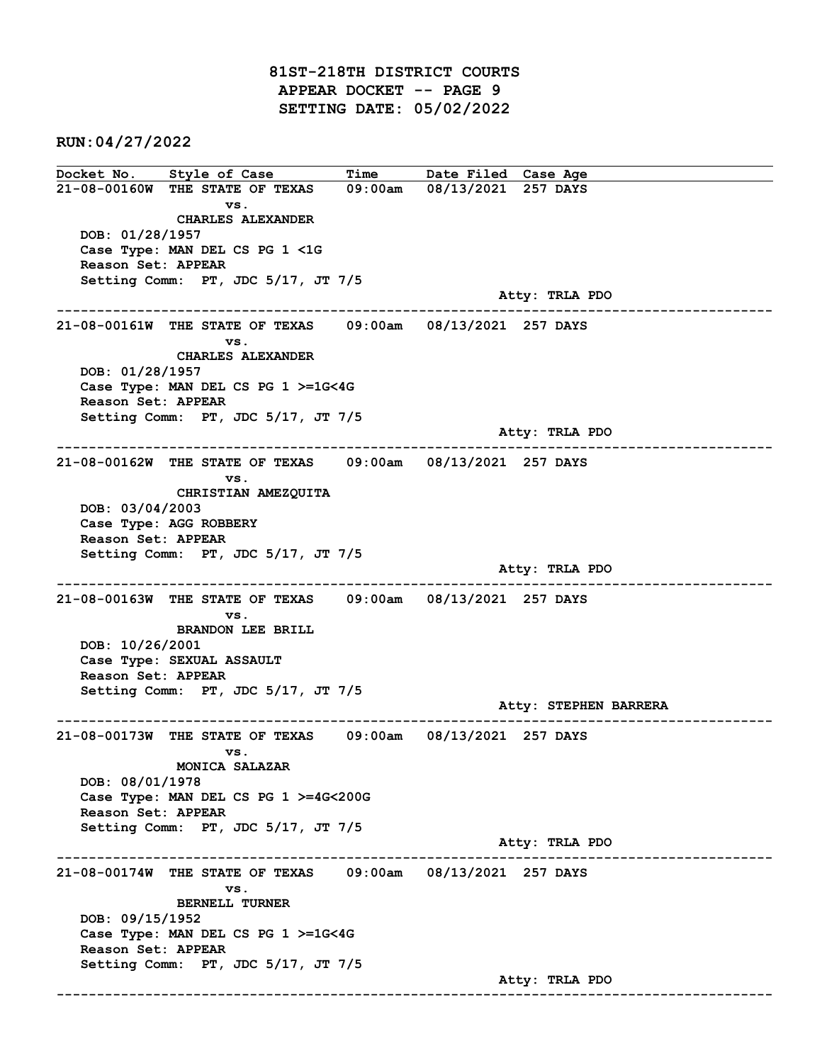81ST-218TH DISTRICT COURTS APPEAR DOCKET -- PAGE 9 SETTING DATE: 05/02/2022

RUN:04/27/2022

Docket No. Style of Case Time Date Filed Case Age 21-08-00160W THE STATE OF TEXAS 09:00am 08/13/2021 257 DAYS vs. CHARLES ALEXANDER DOB: 01/28/1957 Case Type: MAN DEL CS PG 1 <1G Reason Set: APPEAR Setting Comm: PT, JDC 5/17, JT 7/5 Atty: TRLA PDO ------------------------------------------------------------------------------------------------------------------------ 21-08-00161W THE STATE OF TEXAS 09:00am 08/13/2021 257 DAYS vs. CHARLES ALEXANDER DOB: 01/28/1957 Case Type: MAN DEL CS PG 1 >=1G<4G Reason Set: APPEAR Setting Comm: PT, JDC 5/17, JT 7/5 Atty: TRLA PDO ------------------------------------------------------------------------------------------------------------------------ 21-08-00162W THE STATE OF TEXAS 09:00am 08/13/2021 257 DAYS vs. CHRISTIAN AMEZQUITA DOB: 03/04/2003 Case Type: AGG ROBBERY Reason Set: APPEAR Setting Comm: PT, JDC 5/17, JT 7/5 Atty: TRLA PDO ------------------------------------------------------------------------------------------------------------------------ 21-08-00163W THE STATE OF TEXAS 09:00am 08/13/2021 257 DAYS vs. BRANDON LEE BRILL DOB: 10/26/2001 Case Type: SEXUAL ASSAULT Reason Set: APPEAR Setting Comm: PT, JDC 5/17, JT 7/5 Atty: STEPHEN BARRERA ------------------------------------------------------------------------------------------------------------------------ 21-08-00173W THE STATE OF TEXAS 09:00am 08/13/2021 257 DAYS vs. MONICA SALAZAR DOB: 08/01/1978 Case Type: MAN DEL CS PG 1 >=4G<200G Reason Set: APPEAR Setting Comm: PT, JDC 5/17, JT 7/5 Atty: TRLA PDO ------------------------------------------------------------------------------------------------------------------------ 21-08-00174W THE STATE OF TEXAS 09:00am 08/13/2021 257 DAYS vs. BERNELL TURNER DOB: 09/15/1952 Case Type: MAN DEL CS PG 1 >=1G<4G Reason Set: APPEAR Setting Comm: PT, JDC 5/17, JT 7/5 Atty: TRLA PDO ------------------------------------------------------------------------------------------------------------------------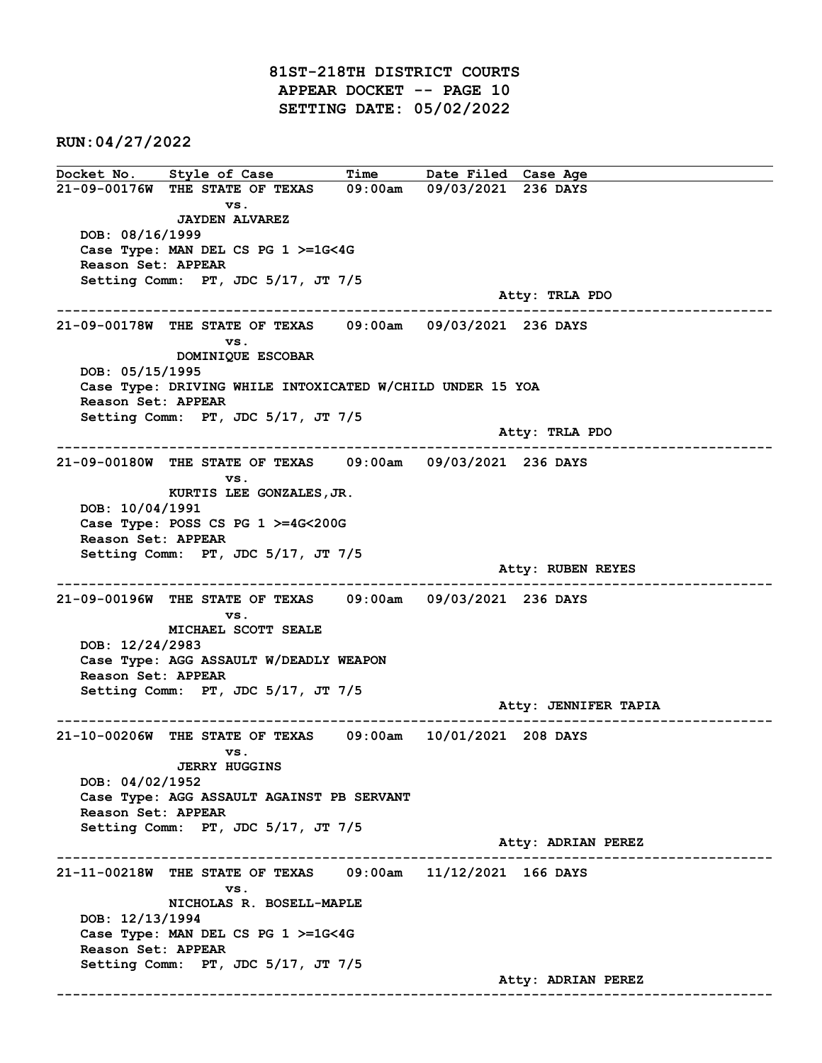81ST-218TH DISTRICT COURTS APPEAR DOCKET -- PAGE 10 SETTING DATE: 05/02/2022

RUN:04/27/2022

Docket No. Style of Case Time Date Filed Case Age 21-09-00176W THE STATE OF TEXAS 09:00am 09/03/2021 236 DAYS vs. JAYDEN ALVAREZ DOB: 08/16/1999 Case Type: MAN DEL CS PG 1 >=1G<4G Reason Set: APPEAR Setting Comm: PT, JDC 5/17, JT 7/5 Atty: TRLA PDO ------------------------------------------------------------------------------------------------------------------------ 21-09-00178W THE STATE OF TEXAS 09:00am 09/03/2021 236 DAYS vs. DOMINIQUE ESCOBAR DOB: 05/15/1995 Case Type: DRIVING WHILE INTOXICATED W/CHILD UNDER 15 YOA Reason Set: APPEAR Setting Comm: PT, JDC 5/17, JT 7/5 Atty: TRLA PDO ------------------------------------------------------------------------------------------------------------------------ 21-09-00180W THE STATE OF TEXAS 09:00am 09/03/2021 236 DAYS vs. KURTIS LEE GONZALES,JR. DOB: 10/04/1991 Case Type: POSS CS PG 1 >=4G<200G Reason Set: APPEAR Setting Comm: PT, JDC 5/17, JT 7/5 Atty: RUBEN REYES ------------------------------------------------------------------------------------------------------------------------ 21-09-00196W THE STATE OF TEXAS 09:00am 09/03/2021 236 DAYS vs. MICHAEL SCOTT SEALE DOB: 12/24/2983 Case Type: AGG ASSAULT W/DEADLY WEAPON Reason Set: APPEAR Setting Comm: PT, JDC 5/17, JT 7/5 Atty: JENNIFER TAPIA ------------------------------------------------------------------------------------------------------------------------ 21-10-00206W THE STATE OF TEXAS 09:00am 10/01/2021 208 DAYS vs. JERRY HUGGINS DOB: 04/02/1952 Case Type: AGG ASSAULT AGAINST PB SERVANT Reason Set: APPEAR Setting Comm: PT, JDC 5/17, JT 7/5 Atty: ADRIAN PEREZ ------------------------------------------------------------------------------------------------------------------------ 21-11-00218W THE STATE OF TEXAS 09:00am 11/12/2021 166 DAYS vs. NICHOLAS R. BOSELL-MAPLE DOB: 12/13/1994 Case Type: MAN DEL CS PG 1 >=1G<4G Reason Set: APPEAR Setting Comm: PT, JDC 5/17, JT 7/5 Atty: ADRIAN PEREZ ------------------------------------------------------------------------------------------------------------------------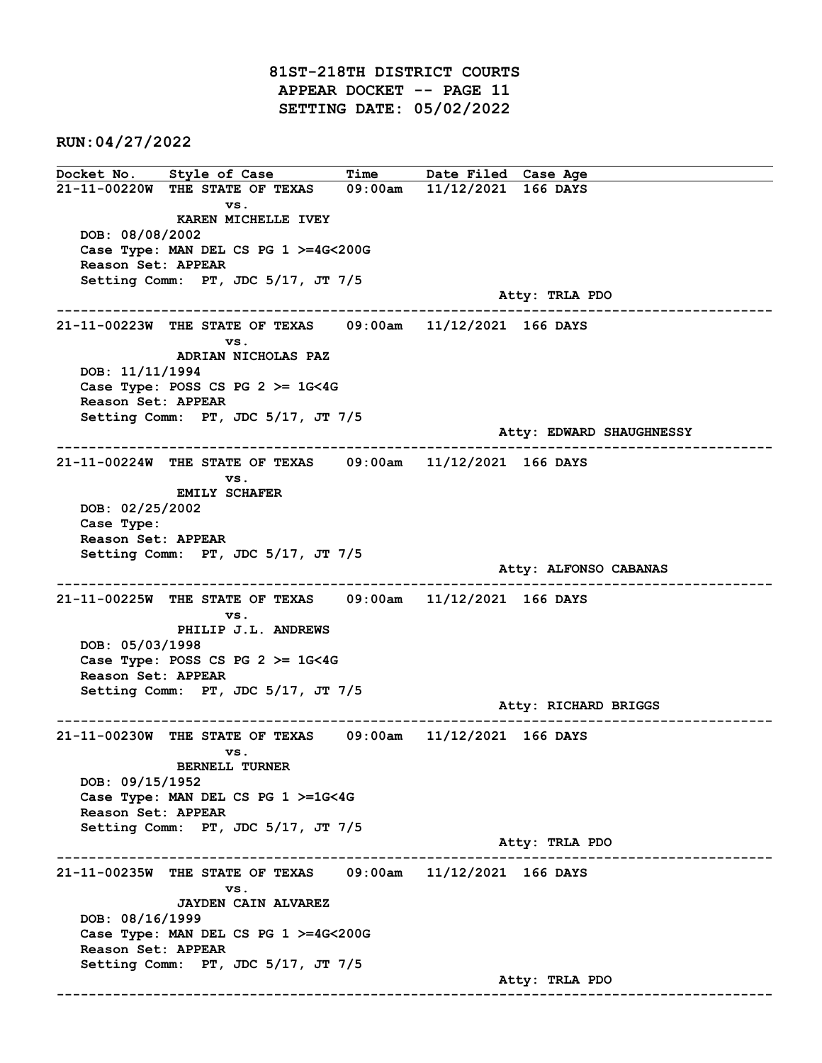81ST-218TH DISTRICT COURTS APPEAR DOCKET -- PAGE 11 SETTING DATE: 05/02/2022

RUN:04/27/2022

Docket No. Style of Case Time Date Filed Case Age 21-11-00220W THE STATE OF TEXAS 09:00am 11/12/2021 166 DAYS vs. KAREN MICHELLE IVEY DOB: 08/08/2002 Case Type: MAN DEL CS PG 1 >=4G<200G Reason Set: APPEAR Setting Comm: PT, JDC 5/17, JT 7/5 Atty: TRLA PDO ------------------------------------------------------------------------------------------------------------------------ 21-11-00223W THE STATE OF TEXAS 09:00am 11/12/2021 166 DAYS vs. ADRIAN NICHOLAS PAZ DOB: 11/11/1994 Case Type: POSS CS PG  $2 \ge 1$ G<4G Reason Set: APPEAR Setting Comm: PT, JDC 5/17, JT 7/5 Atty: EDWARD SHAUGHNESSY ------------------------------------------------------------------------------------------------------------------------ 21-11-00224W THE STATE OF TEXAS 09:00am 11/12/2021 166 DAYS vs. EMILY SCHAFER DOB: 02/25/2002 Case Type: Reason Set: APPEAR Setting Comm: PT, JDC 5/17, JT 7/5 Atty: ALFONSO CABANAS ------------------------------------------------------------------------------------------------------------------------ 21-11-00225W THE STATE OF TEXAS 09:00am 11/12/2021 166 DAYS vs. PHILIP J.L. ANDREWS DOB: 05/03/1998 Case Type: POSS CS PG 2 >= 1G<4G Reason Set: APPEAR Setting Comm: PT, JDC 5/17, JT 7/5 Atty: RICHARD BRIGGS ------------------------------------------------------------------------------------------------------------------------ 21-11-00230W THE STATE OF TEXAS 09:00am 11/12/2021 166 DAYS vs. BERNELL TURNER DOB: 09/15/1952 Case Type: MAN DEL CS PG 1 >=1G<4G Reason Set: APPEAR Setting Comm: PT, JDC 5/17, JT 7/5 Atty: TRLA PDO ------------------------------------------------------------------------------------------------------------------------ 21-11-00235W THE STATE OF TEXAS 09:00am 11/12/2021 166 DAYS vs. JAYDEN CAIN ALVAREZ DOB: 08/16/1999 Case Type: MAN DEL CS PG 1 >=4G<200G Reason Set: APPEAR Setting Comm: PT, JDC 5/17, JT 7/5 Atty: TRLA PDO ------------------------------------------------------------------------------------------------------------------------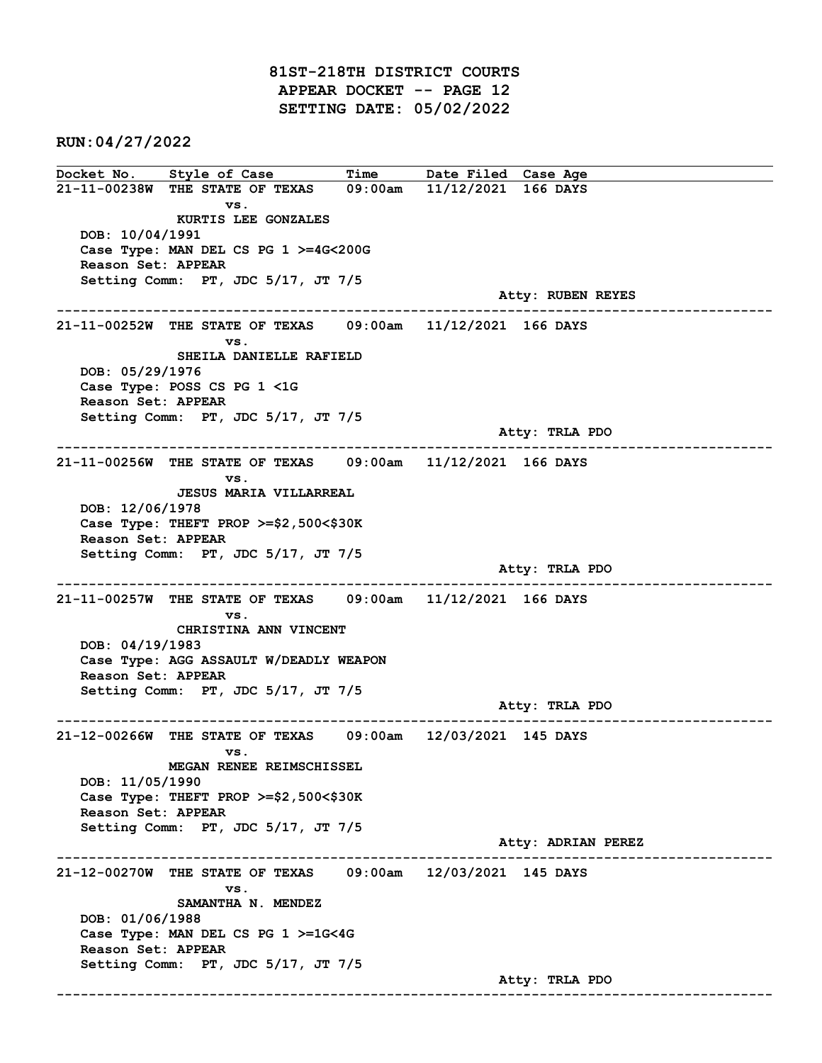81ST-218TH DISTRICT COURTS APPEAR DOCKET -- PAGE 12 SETTING DATE: 05/02/2022

RUN:04/27/2022

Docket No. Style of Case Time Date Filed Case Age 21-11-00238W THE STATE OF TEXAS 09:00am 11/12/2021 166 DAYS vs. KURTIS LEE GONZALES DOB: 10/04/1991 Case Type: MAN DEL CS PG 1 >=4G<200G Reason Set: APPEAR Setting Comm: PT, JDC 5/17, JT 7/5 Atty: RUBEN REYES ------------------------------------------------------------------------------------------------------------------------ 21-11-00252W THE STATE OF TEXAS 09:00am 11/12/2021 166 DAYS vs. SHEILA DANIELLE RAFIELD DOB: 05/29/1976 Case Type: POSS CS PG 1 <1G Reason Set: APPEAR Setting Comm: PT, JDC 5/17, JT 7/5 Atty: TRLA PDO ------------------------------------------------------------------------------------------------------------------------ 21-11-00256W THE STATE OF TEXAS 09:00am 11/12/2021 166 DAYS vs. JESUS MARIA VILLARREAL DOB: 12/06/1978 Case Type: THEFT PROP >=\$2,500<\$30K Reason Set: APPEAR Setting Comm: PT, JDC 5/17, JT 7/5 Atty: TRLA PDO ------------------------------------------------------------------------------------------------------------------------ 21-11-00257W THE STATE OF TEXAS 09:00am 11/12/2021 166 DAYS vs. CHRISTINA ANN VINCENT DOB: 04/19/1983 Case Type: AGG ASSAULT W/DEADLY WEAPON Reason Set: APPEAR Setting Comm: PT, JDC 5/17, JT 7/5 Atty: TRLA PDO ------------------------------------------------------------------------------------------------------------------------ 21-12-00266W THE STATE OF TEXAS 09:00am 12/03/2021 145 DAYS vs. MEGAN RENEE REIMSCHISSEL DOB: 11/05/1990 Case Type: THEFT PROP >=\$2,500<\$30K Reason Set: APPEAR Setting Comm: PT, JDC 5/17, JT 7/5 Atty: ADRIAN PEREZ ------------------------------------------------------------------------------------------------------------------------ 21-12-00270W THE STATE OF TEXAS 09:00am 12/03/2021 145 DAYS vs. SAMANTHA N. MENDEZ DOB: 01/06/1988 Case Type: MAN DEL CS PG 1 >=1G<4G Reason Set: APPEAR Setting Comm: PT, JDC 5/17, JT 7/5 Atty: TRLA PDO ------------------------------------------------------------------------------------------------------------------------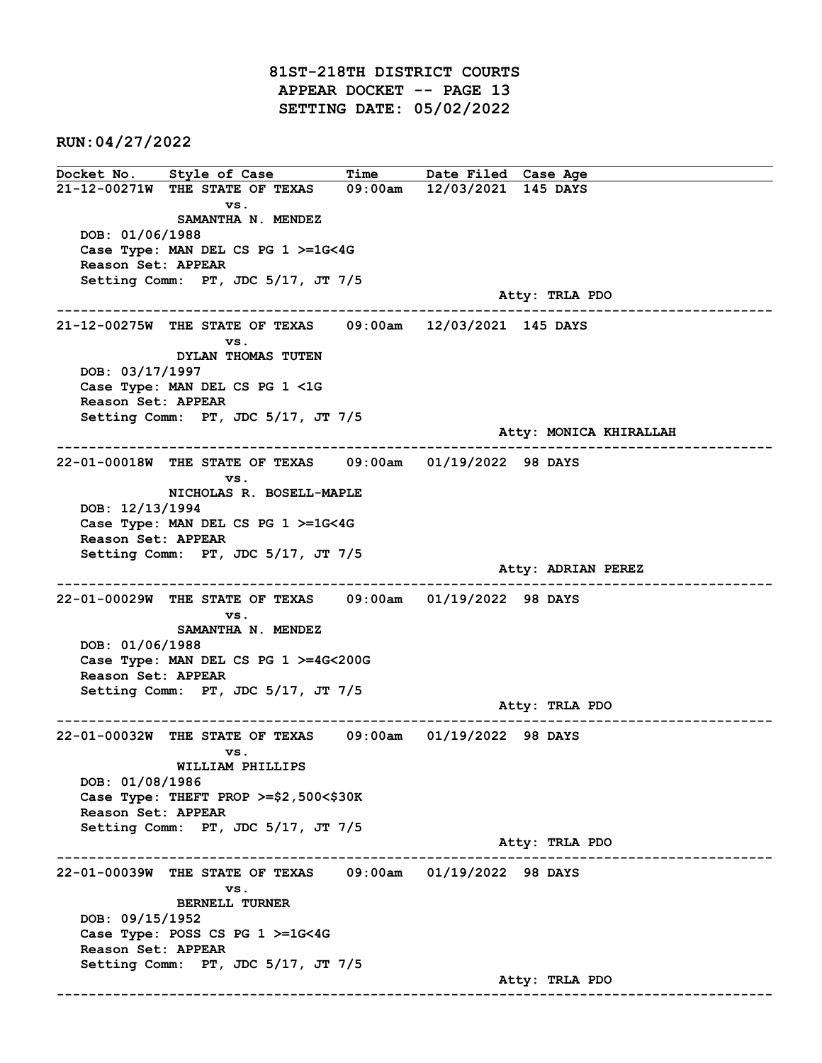81ST-218TH DISTRICT COURTS APPEAR DOCKET -- PAGE 13 SETTING DATE: 05/02/2022

RUN:04/27/2022

Docket No. Style of Case Time Date Filed Case Age 21-12-00271W THE STATE OF TEXAS 09:00am 12/03/2021 145 DAYS vs. SAMANTHA N. MENDEZ DOB: 01/06/1988 Case Type: MAN DEL CS PG 1 >=1G<4G Reason Set: APPEAR Setting Comm: PT, JDC 5/17, JT 7/5 Atty: TRLA PDO ------------------------------------------------------------------------------------------------------------------------ 21-12-00275W THE STATE OF TEXAS 09:00am 12/03/2021 145 DAYS vs. DYLAN THOMAS TUTEN DOB: 03/17/1997 Case Type: MAN DEL CS PG 1 <1G Reason Set: APPEAR Setting Comm: PT, JDC 5/17, JT 7/5 Atty: MONICA KHIRALLAH ------------------------------------------------------------------------------------------------------------------------ 22-01-00018W THE STATE OF TEXAS 09:00am 01/19/2022 98 DAYS vs. NICHOLAS R. BOSELL-MAPLE DOB: 12/13/1994 Case Type: MAN DEL CS PG 1 >=1G<4G Reason Set: APPEAR Setting Comm: PT, JDC 5/17, JT 7/5 Atty: ADRIAN PEREZ ------------------------------------------------------------------------------------------------------------------------ 22-01-00029W THE STATE OF TEXAS 09:00am 01/19/2022 98 DAYS vs. SAMANTHA N. MENDEZ DOB: 01/06/1988 Case Type: MAN DEL CS PG 1 >=4G<200G Reason Set: APPEAR Setting Comm: PT, JDC 5/17, JT 7/5 Atty: TRLA PDO ------------------------------------------------------------------------------------------------------------------------ 22-01-00032W THE STATE OF TEXAS 09:00am 01/19/2022 98 DAYS vs. WILLIAM PHILLIPS DOB: 01/08/1986 Case Type: THEFT PROP >=\$2,500<\$30K Reason Set: APPEAR Setting Comm: PT, JDC 5/17, JT 7/5 Atty: TRLA PDO ------------------------------------------------------------------------------------------------------------------------ 22-01-00039W THE STATE OF TEXAS 09:00am 01/19/2022 98 DAYS vs. BERNELL TURNER DOB: 09/15/1952 Case Type: POSS CS PG 1 >=1G<4G Reason Set: APPEAR Setting Comm: PT, JDC 5/17, JT 7/5 Atty: TRLA PDO ------------------------------------------------------------------------------------------------------------------------